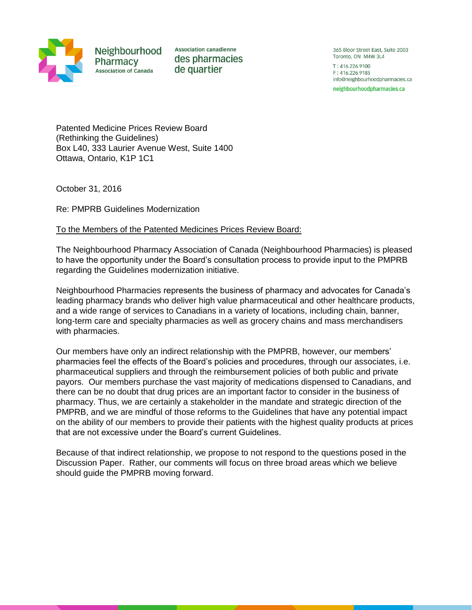

Neighbourhood Pharmacy **Association of Canada** 

**Association canadienne** des pharmacies de quartier

365 Bloor Street East, Suite 2003 Toronto, ON M4W 3L4 T: 416.226.9100 F: 416.226.9185 info@neighbourhoodpharmacies.ca

neighbourhoodpharmacies.ca

Patented Medicine Prices Review Board (Rethinking the Guidelines) Box L40, 333 Laurier Avenue West, Suite 1400 Ottawa, Ontario, K1P 1C1

October 31, 2016

Re: PMPRB Guidelines Modernization

# To the Members of the Patented Medicines Prices Review Board:

The Neighbourhood Pharmacy Association of Canada (Neighbourhood Pharmacies) is pleased to have the opportunity under the Board's consultation process to provide input to the PMPRB regarding the Guidelines modernization initiative.

Neighbourhood Pharmacies represents the business of pharmacy and advocates for Canada's leading pharmacy brands who deliver high value pharmaceutical and other healthcare products, and a wide range of services to Canadians in a variety of locations, including chain, banner, long-term care and specialty pharmacies as well as grocery chains and mass merchandisers with pharmacies.

Our members have only an indirect relationship with the PMPRB, however, our members' pharmacies feel the effects of the Board's policies and procedures, through our associates, i.e. pharmaceutical suppliers and through the reimbursement policies of both public and private payors. Our members purchase the vast majority of medications dispensed to Canadians, and there can be no doubt that drug prices are an important factor to consider in the business of pharmacy. Thus, we are certainly a stakeholder in the mandate and strategic direction of the PMPRB, and we are mindful of those reforms to the Guidelines that have any potential impact on the ability of our members to provide their patients with the highest quality products at prices that are not excessive under the Board's current Guidelines.

Because of that indirect relationship, we propose to not respond to the questions posed in the Discussion Paper. Rather, our comments will focus on three broad areas which we believe should guide the PMPRB moving forward.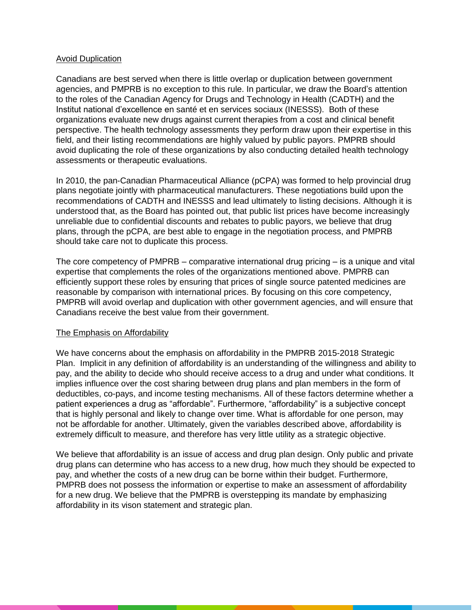## Avoid Duplication

Canadians are best served when there is little overlap or duplication between government agencies, and PMPRB is no exception to this rule. In particular, we draw the Board's attention to the roles of the Canadian Agency for Drugs and Technology in Health (CADTH) and the Institut national d'excellence en santé et en services sociaux (INESSS). Both of these organizations evaluate new drugs against current therapies from a cost and clinical benefit perspective. The health technology assessments they perform draw upon their expertise in this field, and their listing recommendations are highly valued by public payors. PMPRB should avoid duplicating the role of these organizations by also conducting detailed health technology assessments or therapeutic evaluations.

In 2010, the pan-Canadian Pharmaceutical Alliance (pCPA) was formed to help provincial drug plans negotiate jointly with pharmaceutical manufacturers. These negotiations build upon the recommendations of CADTH and INESSS and lead ultimately to listing decisions. Although it is understood that, as the Board has pointed out, that public list prices have become increasingly unreliable due to confidential discounts and rebates to public payors, we believe that drug plans, through the pCPA, are best able to engage in the negotiation process, and PMPRB should take care not to duplicate this process.

The core competency of PMPRB – comparative international drug pricing – is a unique and vital expertise that complements the roles of the organizations mentioned above. PMPRB can efficiently support these roles by ensuring that prices of single source patented medicines are reasonable by comparison with international prices. By focusing on this core competency, PMPRB will avoid overlap and duplication with other government agencies, and will ensure that Canadians receive the best value from their government.

# The Emphasis on Affordability

We have concerns about the emphasis on affordability in the PMPRB 2015-2018 Strategic Plan. Implicit in any definition of affordability is an understanding of the willingness and ability to pay, and the ability to decide who should receive access to a drug and under what conditions. It implies influence over the cost sharing between drug plans and plan members in the form of deductibles, co-pays, and income testing mechanisms. All of these factors determine whether a patient experiences a drug as "affordable". Furthermore, "affordability" is a subjective concept that is highly personal and likely to change over time. What is affordable for one person, may not be affordable for another. Ultimately, given the variables described above, affordability is extremely difficult to measure, and therefore has very little utility as a strategic objective.

We believe that affordability is an issue of access and drug plan design. Only public and private drug plans can determine who has access to a new drug, how much they should be expected to pay, and whether the costs of a new drug can be borne within their budget. Furthermore, PMPRB does not possess the information or expertise to make an assessment of affordability for a new drug. We believe that the PMPRB is overstepping its mandate by emphasizing affordability in its vison statement and strategic plan.